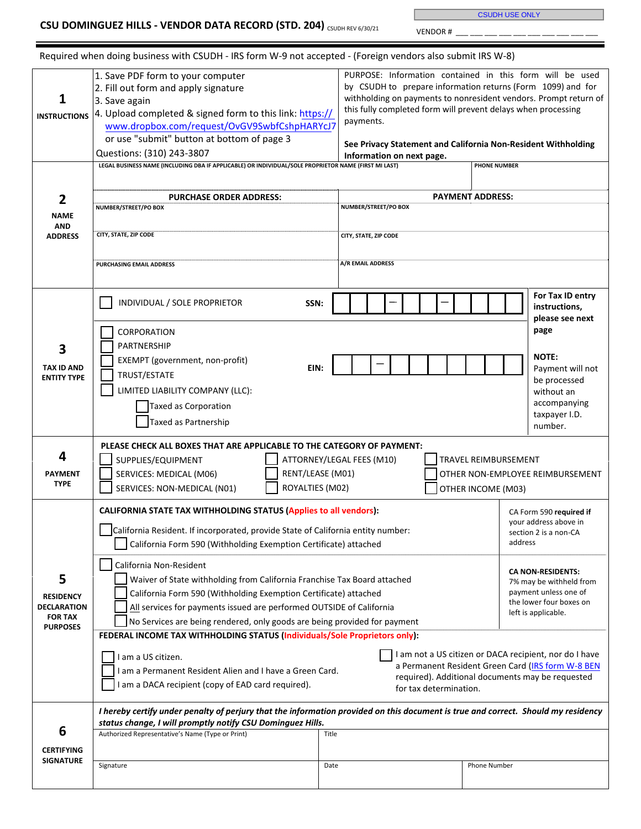CSUDH USE ONLY

VENDOR #

| 1<br><b>INSTRUCTIONS</b><br>2                                                    | 1. Save PDF form to your computer<br>2. Fill out form and apply signature<br>3. Save again<br>4. Upload completed & signed form to this link: https://<br>www.dropbox.com/request/OvGV9SwbfCshpHARYcJ7<br>or use "submit" button at bottom of page 3<br>Questions: (310) 243-3807<br>LEGAL BUSINESS NAME (INCLUDING DBA IF APPLICABLE) OR INDIVIDUAL/SOLE PROPRIETOR NAME (FIRST MI LAST)<br><b>PURCHASE ORDER ADDRESS:</b>                                                                                                                                                                                                                                                                                                                                                                                                                                                                                                                                                                                                                                                                                                                                                                          | PURPOSE: Information contained in this form will be used<br>by CSUDH to prepare information returns (Form 1099) and for<br>withholding on payments to nonresident vendors. Prompt return of<br>this fully completed form will prevent delays when processing<br>payments.<br>See Privacy Statement and California Non-Resident Withholding<br>Information on next page.<br><b>PAYMENT ADDRESS:</b> | <b>PHONE NUMBER</b>                                                                                                                                                        |
|----------------------------------------------------------------------------------|------------------------------------------------------------------------------------------------------------------------------------------------------------------------------------------------------------------------------------------------------------------------------------------------------------------------------------------------------------------------------------------------------------------------------------------------------------------------------------------------------------------------------------------------------------------------------------------------------------------------------------------------------------------------------------------------------------------------------------------------------------------------------------------------------------------------------------------------------------------------------------------------------------------------------------------------------------------------------------------------------------------------------------------------------------------------------------------------------------------------------------------------------------------------------------------------------|----------------------------------------------------------------------------------------------------------------------------------------------------------------------------------------------------------------------------------------------------------------------------------------------------------------------------------------------------------------------------------------------------|----------------------------------------------------------------------------------------------------------------------------------------------------------------------------|
| <b>NAME</b><br>AND<br><b>ADDRESS</b>                                             | NUMBER/STREET/PO BOX<br>CITY, STATE, ZIP CODE<br>PURCHASING EMAIL ADDRESS                                                                                                                                                                                                                                                                                                                                                                                                                                                                                                                                                                                                                                                                                                                                                                                                                                                                                                                                                                                                                                                                                                                            | NUMBER/STREET/PO BOX<br>CITY, STATE, ZIP CODE<br>A/R EMAIL ADDRESS                                                                                                                                                                                                                                                                                                                                 |                                                                                                                                                                            |
| 3<br><b>TAX ID AND</b><br><b>ENTITY TYPE</b>                                     | INDIVIDUAL / SOLE PROPRIETOR<br>SSN:<br>CORPORATION<br>PARTNERSHIP<br>EXEMPT (government, non-profit)<br>EIN:<br>TRUST/ESTATE<br>LIMITED LIABILITY COMPANY (LLC):<br>Taxed as Corporation<br><b>Taxed as Partnership</b>                                                                                                                                                                                                                                                                                                                                                                                                                                                                                                                                                                                                                                                                                                                                                                                                                                                                                                                                                                             |                                                                                                                                                                                                                                                                                                                                                                                                    | For Tax ID entry<br>instructions,<br>please see next<br>page<br><b>NOTE:</b><br>Payment will not<br>be processed<br>without an<br>accompanying<br>taxpayer I.D.<br>number. |
| 4<br><b>PAYMENT</b><br><b>TYPE</b>                                               | PLEASE CHECK ALL BOXES THAT ARE APPLICABLE TO THE CATEGORY OF PAYMENT:<br>SUPPLIES/EQUIPMENT<br>ATTORNEY/LEGAL FEES (M10)<br>TRAVEL REIMBURSEMENT<br>SERVICES: MEDICAL (M06)<br>RENT/LEASE (M01)<br>OTHER NON-EMPLOYEE REIMBURSEMENT<br>ROYALTIES (M02)<br>SERVICES: NON-MEDICAL (N01)<br>OTHER INCOME (M03)                                                                                                                                                                                                                                                                                                                                                                                                                                                                                                                                                                                                                                                                                                                                                                                                                                                                                         |                                                                                                                                                                                                                                                                                                                                                                                                    |                                                                                                                                                                            |
| 5<br><b>RESIDENCY</b><br><b>DECLARATION</b><br><b>FOR TAX</b><br><b>PURPOSES</b> | CALIFORNIA STATE TAX WITHHOLDING STATUS (Applies to all vendors):<br>CA Form 590 required if<br>your address above in<br>California Resident. If incorporated, provide State of California entity number:<br>section 2 is a non-CA<br>address<br>California Form 590 (Withholding Exemption Certificate) attached<br>California Non-Resident<br><b>CA NON-RESIDENTS:</b><br>Waiver of State withholding from California Franchise Tax Board attached<br>7% may be withheld from<br>payment unless one of<br>California Form 590 (Withholding Exemption Certificate) attached<br>the lower four boxes on<br>All services for payments issued are performed OUTSIDE of California<br>left is applicable.<br>No Services are being rendered, only goods are being provided for payment<br>FEDERAL INCOME TAX WITHHOLDING STATUS (Individuals/Sole Proprietors only):<br>I am not a US citizen or DACA recipient, nor do I have<br>I am a US citizen.<br>a Permanent Resident Green Card (IRS form W-8 BEN<br>I am a Permanent Resident Alien and I have a Green Card.<br>required). Additional documents may be requested<br>am a DACA recipient (copy of EAD card required).<br>for tax determination. |                                                                                                                                                                                                                                                                                                                                                                                                    |                                                                                                                                                                            |
|                                                                                  | I hereby certify under penalty of perjury that the information provided on this document is true and correct. Should my residency<br>status change, I will promptly notify CSU Dominguez Hills.                                                                                                                                                                                                                                                                                                                                                                                                                                                                                                                                                                                                                                                                                                                                                                                                                                                                                                                                                                                                      |                                                                                                                                                                                                                                                                                                                                                                                                    |                                                                                                                                                                            |
| 6                                                                                | Authorized Representative's Name (Type or Print)                                                                                                                                                                                                                                                                                                                                                                                                                                                                                                                                                                                                                                                                                                                                                                                                                                                                                                                                                                                                                                                                                                                                                     | Title                                                                                                                                                                                                                                                                                                                                                                                              |                                                                                                                                                                            |
| <b>CERTIFYING</b><br><b>SIGNATURE</b>                                            | Signature                                                                                                                                                                                                                                                                                                                                                                                                                                                                                                                                                                                                                                                                                                                                                                                                                                                                                                                                                                                                                                                                                                                                                                                            | Date                                                                                                                                                                                                                                                                                                                                                                                               | Phone Number                                                                                                                                                               |

Required when doing business with CSUDH ‐ IRS form W‐9 not accepted - (Foreign vendors also submit IRS W‐8)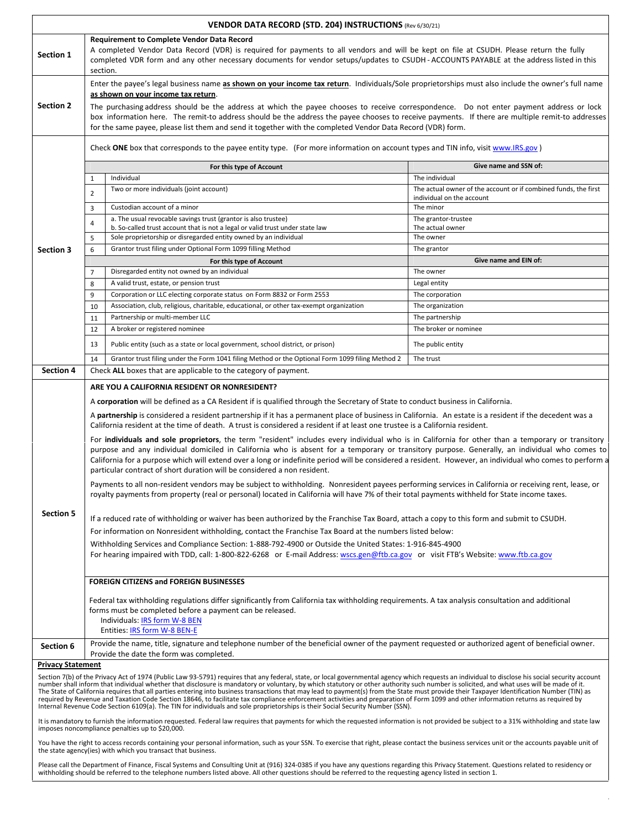| VENDOR DATA RECORD (STD. 204) INSTRUCTIONS (Rev 6/30/21)                                                                                                                                                                                                                                                                                                                                                                                                                                                                                                                                                                                                                                                                                                                                                                                                                                                                                        |                                                                                                                                                                                                                                                                                                                                                                                                                                                                                                                                                                                                         |                                                                                                                                                                                                                                                                                                                                                                                                                                                                                                                                            |                                                                                              |  |  |  |
|-------------------------------------------------------------------------------------------------------------------------------------------------------------------------------------------------------------------------------------------------------------------------------------------------------------------------------------------------------------------------------------------------------------------------------------------------------------------------------------------------------------------------------------------------------------------------------------------------------------------------------------------------------------------------------------------------------------------------------------------------------------------------------------------------------------------------------------------------------------------------------------------------------------------------------------------------|---------------------------------------------------------------------------------------------------------------------------------------------------------------------------------------------------------------------------------------------------------------------------------------------------------------------------------------------------------------------------------------------------------------------------------------------------------------------------------------------------------------------------------------------------------------------------------------------------------|--------------------------------------------------------------------------------------------------------------------------------------------------------------------------------------------------------------------------------------------------------------------------------------------------------------------------------------------------------------------------------------------------------------------------------------------------------------------------------------------------------------------------------------------|----------------------------------------------------------------------------------------------|--|--|--|
| Section 1                                                                                                                                                                                                                                                                                                                                                                                                                                                                                                                                                                                                                                                                                                                                                                                                                                                                                                                                       | <b>Requirement to Complete Vendor Data Record</b><br>A completed Vendor Data Record (VDR) is required for payments to all vendors and will be kept on file at CSUDH. Please return the fully<br>completed VDR form and any other necessary documents for vendor setups/updates to CSUDH-ACCOUNTS PAYABLE at the address listed in this<br>section.                                                                                                                                                                                                                                                      |                                                                                                                                                                                                                                                                                                                                                                                                                                                                                                                                            |                                                                                              |  |  |  |
| <b>Section 2</b>                                                                                                                                                                                                                                                                                                                                                                                                                                                                                                                                                                                                                                                                                                                                                                                                                                                                                                                                | Enter the payee's legal business name as shown on your income tax return. Individuals/Sole proprietorships must also include the owner's full name<br>as shown on your income tax return.<br>The purchasing address should be the address at which the payee chooses to receive correspondence. Do not enter payment address or lock<br>box information here. The remit-to address should be the address the payee chooses to receive payments. If there are multiple remit-to addresses<br>for the same payee, please list them and send it together with the completed Vendor Data Record (VDR) form. |                                                                                                                                                                                                                                                                                                                                                                                                                                                                                                                                            |                                                                                              |  |  |  |
|                                                                                                                                                                                                                                                                                                                                                                                                                                                                                                                                                                                                                                                                                                                                                                                                                                                                                                                                                 | Check ONE box that corresponds to the payee entity type. (For more information on account types and TIN info, visit www.IRS.gov)                                                                                                                                                                                                                                                                                                                                                                                                                                                                        |                                                                                                                                                                                                                                                                                                                                                                                                                                                                                                                                            |                                                                                              |  |  |  |
|                                                                                                                                                                                                                                                                                                                                                                                                                                                                                                                                                                                                                                                                                                                                                                                                                                                                                                                                                 |                                                                                                                                                                                                                                                                                                                                                                                                                                                                                                                                                                                                         | For this type of Account                                                                                                                                                                                                                                                                                                                                                                                                                                                                                                                   | Give name and SSN of:                                                                        |  |  |  |
|                                                                                                                                                                                                                                                                                                                                                                                                                                                                                                                                                                                                                                                                                                                                                                                                                                                                                                                                                 | $\mathbf{1}$                                                                                                                                                                                                                                                                                                                                                                                                                                                                                                                                                                                            | Individual                                                                                                                                                                                                                                                                                                                                                                                                                                                                                                                                 | The individual                                                                               |  |  |  |
|                                                                                                                                                                                                                                                                                                                                                                                                                                                                                                                                                                                                                                                                                                                                                                                                                                                                                                                                                 | $\overline{2}$                                                                                                                                                                                                                                                                                                                                                                                                                                                                                                                                                                                          | Two or more individuals (joint account)                                                                                                                                                                                                                                                                                                                                                                                                                                                                                                    | The actual owner of the account or if combined funds, the first<br>individual on the account |  |  |  |
|                                                                                                                                                                                                                                                                                                                                                                                                                                                                                                                                                                                                                                                                                                                                                                                                                                                                                                                                                 | 3                                                                                                                                                                                                                                                                                                                                                                                                                                                                                                                                                                                                       | Custodian account of a minor                                                                                                                                                                                                                                                                                                                                                                                                                                                                                                               | The minor                                                                                    |  |  |  |
|                                                                                                                                                                                                                                                                                                                                                                                                                                                                                                                                                                                                                                                                                                                                                                                                                                                                                                                                                 | 4                                                                                                                                                                                                                                                                                                                                                                                                                                                                                                                                                                                                       | a. The usual revocable savings trust (grantor is also trustee)<br>b. So-called trust account that is not a legal or valid trust under state law                                                                                                                                                                                                                                                                                                                                                                                            | The grantor-trustee                                                                          |  |  |  |
|                                                                                                                                                                                                                                                                                                                                                                                                                                                                                                                                                                                                                                                                                                                                                                                                                                                                                                                                                 | 5                                                                                                                                                                                                                                                                                                                                                                                                                                                                                                                                                                                                       | Sole proprietorship or disregarded entity owned by an individual                                                                                                                                                                                                                                                                                                                                                                                                                                                                           | The actual owner<br>The owner                                                                |  |  |  |
| <b>Section 3</b>                                                                                                                                                                                                                                                                                                                                                                                                                                                                                                                                                                                                                                                                                                                                                                                                                                                                                                                                | 6                                                                                                                                                                                                                                                                                                                                                                                                                                                                                                                                                                                                       | Grantor trust filing under Optional Form 1099 filling Method                                                                                                                                                                                                                                                                                                                                                                                                                                                                               | The grantor                                                                                  |  |  |  |
|                                                                                                                                                                                                                                                                                                                                                                                                                                                                                                                                                                                                                                                                                                                                                                                                                                                                                                                                                 |                                                                                                                                                                                                                                                                                                                                                                                                                                                                                                                                                                                                         | For this type of Account                                                                                                                                                                                                                                                                                                                                                                                                                                                                                                                   | Give name and EIN of:                                                                        |  |  |  |
|                                                                                                                                                                                                                                                                                                                                                                                                                                                                                                                                                                                                                                                                                                                                                                                                                                                                                                                                                 | $\overline{7}$                                                                                                                                                                                                                                                                                                                                                                                                                                                                                                                                                                                          | Disregarded entity not owned by an individual                                                                                                                                                                                                                                                                                                                                                                                                                                                                                              | The owner                                                                                    |  |  |  |
|                                                                                                                                                                                                                                                                                                                                                                                                                                                                                                                                                                                                                                                                                                                                                                                                                                                                                                                                                 | 8<br>9                                                                                                                                                                                                                                                                                                                                                                                                                                                                                                                                                                                                  | A valid trust, estate, or pension trust<br>Corporation or LLC electing corporate status on Form 8832 or Form 2553                                                                                                                                                                                                                                                                                                                                                                                                                          | Legal entity<br>The corporation                                                              |  |  |  |
|                                                                                                                                                                                                                                                                                                                                                                                                                                                                                                                                                                                                                                                                                                                                                                                                                                                                                                                                                 | 10                                                                                                                                                                                                                                                                                                                                                                                                                                                                                                                                                                                                      | Association, club, religious, charitable, educational, or other tax-exempt organization                                                                                                                                                                                                                                                                                                                                                                                                                                                    | The organization                                                                             |  |  |  |
|                                                                                                                                                                                                                                                                                                                                                                                                                                                                                                                                                                                                                                                                                                                                                                                                                                                                                                                                                 | 11                                                                                                                                                                                                                                                                                                                                                                                                                                                                                                                                                                                                      | Partnership or multi-member LLC                                                                                                                                                                                                                                                                                                                                                                                                                                                                                                            | The partnership                                                                              |  |  |  |
|                                                                                                                                                                                                                                                                                                                                                                                                                                                                                                                                                                                                                                                                                                                                                                                                                                                                                                                                                 | 12                                                                                                                                                                                                                                                                                                                                                                                                                                                                                                                                                                                                      | A broker or registered nominee                                                                                                                                                                                                                                                                                                                                                                                                                                                                                                             | The broker or nominee                                                                        |  |  |  |
|                                                                                                                                                                                                                                                                                                                                                                                                                                                                                                                                                                                                                                                                                                                                                                                                                                                                                                                                                 | 13                                                                                                                                                                                                                                                                                                                                                                                                                                                                                                                                                                                                      | Public entity (such as a state or local government, school district, or prison)                                                                                                                                                                                                                                                                                                                                                                                                                                                            | The public entity                                                                            |  |  |  |
|                                                                                                                                                                                                                                                                                                                                                                                                                                                                                                                                                                                                                                                                                                                                                                                                                                                                                                                                                 | 14                                                                                                                                                                                                                                                                                                                                                                                                                                                                                                                                                                                                      | Grantor trust filing under the Form 1041 filing Method or the Optional Form 1099 filing Method 2                                                                                                                                                                                                                                                                                                                                                                                                                                           | The trust                                                                                    |  |  |  |
| <b>Section 4</b>                                                                                                                                                                                                                                                                                                                                                                                                                                                                                                                                                                                                                                                                                                                                                                                                                                                                                                                                |                                                                                                                                                                                                                                                                                                                                                                                                                                                                                                                                                                                                         | Check ALL boxes that are applicable to the category of payment.                                                                                                                                                                                                                                                                                                                                                                                                                                                                            |                                                                                              |  |  |  |
|                                                                                                                                                                                                                                                                                                                                                                                                                                                                                                                                                                                                                                                                                                                                                                                                                                                                                                                                                 |                                                                                                                                                                                                                                                                                                                                                                                                                                                                                                                                                                                                         | ARE YOU A CALIFORNIA RESIDENT OR NONRESIDENT?                                                                                                                                                                                                                                                                                                                                                                                                                                                                                              |                                                                                              |  |  |  |
|                                                                                                                                                                                                                                                                                                                                                                                                                                                                                                                                                                                                                                                                                                                                                                                                                                                                                                                                                 | A corporation will be defined as a CA Resident if is qualified through the Secretary of State to conduct business in California.                                                                                                                                                                                                                                                                                                                                                                                                                                                                        |                                                                                                                                                                                                                                                                                                                                                                                                                                                                                                                                            |                                                                                              |  |  |  |
|                                                                                                                                                                                                                                                                                                                                                                                                                                                                                                                                                                                                                                                                                                                                                                                                                                                                                                                                                 |                                                                                                                                                                                                                                                                                                                                                                                                                                                                                                                                                                                                         | A partnership is considered a resident partnership if it has a permanent place of business in California. An estate is a resident if the decedent was a<br>California resident at the time of death. A trust is considered a resident if at least one trustee is a California resident.                                                                                                                                                                                                                                                    |                                                                                              |  |  |  |
|                                                                                                                                                                                                                                                                                                                                                                                                                                                                                                                                                                                                                                                                                                                                                                                                                                                                                                                                                 |                                                                                                                                                                                                                                                                                                                                                                                                                                                                                                                                                                                                         | For individuals and sole proprietors, the term "resident" includes every individual who is in California for other than a temporary or transitory<br>purpose and any individual domiciled in California who is absent for a temporary or transitory purpose. Generally, an individual who comes to<br>California for a purpose which will extend over a long or indefinite period will be considered a resident. However, an individual who comes to perform a<br>particular contract of short duration will be considered a non resident. |                                                                                              |  |  |  |
|                                                                                                                                                                                                                                                                                                                                                                                                                                                                                                                                                                                                                                                                                                                                                                                                                                                                                                                                                 | Payments to all non-resident vendors may be subject to withholding. Nonresident payees performing services in California or receiving rent, lease, or<br>royalty payments from property (real or personal) located in California will have 7% of their total payments withheld for State income taxes.                                                                                                                                                                                                                                                                                                  |                                                                                                                                                                                                                                                                                                                                                                                                                                                                                                                                            |                                                                                              |  |  |  |
| <b>Section 5</b>                                                                                                                                                                                                                                                                                                                                                                                                                                                                                                                                                                                                                                                                                                                                                                                                                                                                                                                                | If a reduced rate of withholding or waiver has been authorized by the Franchise Tax Board, attach a copy to this form and submit to CSUDH.                                                                                                                                                                                                                                                                                                                                                                                                                                                              |                                                                                                                                                                                                                                                                                                                                                                                                                                                                                                                                            |                                                                                              |  |  |  |
|                                                                                                                                                                                                                                                                                                                                                                                                                                                                                                                                                                                                                                                                                                                                                                                                                                                                                                                                                 | For information on Nonresident withholding, contact the Franchise Tax Board at the numbers listed below:<br>Withholding Services and Compliance Section: 1-888-792-4900 or Outside the United States: 1-916-845-4900<br>For hearing impaired with TDD, call: 1-800-822-6268 or E-mail Address: wscs.gen@ftb.ca.gov or visit FTB's Website: www.ftb.ca.gov                                                                                                                                                                                                                                               |                                                                                                                                                                                                                                                                                                                                                                                                                                                                                                                                            |                                                                                              |  |  |  |
|                                                                                                                                                                                                                                                                                                                                                                                                                                                                                                                                                                                                                                                                                                                                                                                                                                                                                                                                                 |                                                                                                                                                                                                                                                                                                                                                                                                                                                                                                                                                                                                         |                                                                                                                                                                                                                                                                                                                                                                                                                                                                                                                                            |                                                                                              |  |  |  |
|                                                                                                                                                                                                                                                                                                                                                                                                                                                                                                                                                                                                                                                                                                                                                                                                                                                                                                                                                 | FOREIGN CITIZENS and FOREIGN BUSINESSES                                                                                                                                                                                                                                                                                                                                                                                                                                                                                                                                                                 |                                                                                                                                                                                                                                                                                                                                                                                                                                                                                                                                            |                                                                                              |  |  |  |
|                                                                                                                                                                                                                                                                                                                                                                                                                                                                                                                                                                                                                                                                                                                                                                                                                                                                                                                                                 | Federal tax withholding regulations differ significantly from California tax withholding requirements. A tax analysis consultation and additional                                                                                                                                                                                                                                                                                                                                                                                                                                                       |                                                                                                                                                                                                                                                                                                                                                                                                                                                                                                                                            |                                                                                              |  |  |  |
| Section 6                                                                                                                                                                                                                                                                                                                                                                                                                                                                                                                                                                                                                                                                                                                                                                                                                                                                                                                                       |                                                                                                                                                                                                                                                                                                                                                                                                                                                                                                                                                                                                         | Provide the name, title, signature and telephone number of the beneficial owner of the payment requested or authorized agent of beneficial owner.                                                                                                                                                                                                                                                                                                                                                                                          |                                                                                              |  |  |  |
|                                                                                                                                                                                                                                                                                                                                                                                                                                                                                                                                                                                                                                                                                                                                                                                                                                                                                                                                                 |                                                                                                                                                                                                                                                                                                                                                                                                                                                                                                                                                                                                         | Provide the date the form was completed.                                                                                                                                                                                                                                                                                                                                                                                                                                                                                                   |                                                                                              |  |  |  |
| <b>Privacy Statement</b><br>Section 7(b) of the Privacy Act of 1974 (Public Law 93-5791) requires that any federal, state, or local governmental agency which requests an individual to disclose his social security account<br>number shall inform that individual whether that disclosure is mandatory or voluntary, by which statutory or other authority such number is solicited, and what uses will be made of it.<br>The State of California requires that all parties entering into business transactions that may lead to payment(s) from the State must provide their Taxpayer Identification Number (TIN) as<br>required by Revenue and Taxation Code Section 18646, to facilitate tax compliance enforcement activities and preparation of Form 1099 and other information returns as required by<br>Internal Revenue Code Section 6109(a). The TIN for individuals and sole proprietorships is their Social Security Number (SSN). |                                                                                                                                                                                                                                                                                                                                                                                                                                                                                                                                                                                                         |                                                                                                                                                                                                                                                                                                                                                                                                                                                                                                                                            |                                                                                              |  |  |  |
|                                                                                                                                                                                                                                                                                                                                                                                                                                                                                                                                                                                                                                                                                                                                                                                                                                                                                                                                                 |                                                                                                                                                                                                                                                                                                                                                                                                                                                                                                                                                                                                         | It is mandatory to furnish the information requested. Federal law requires that payments for which the requested information is not provided be subject to a 31% withholding and state law<br>imposes noncompliance penalties up to \$20,000.                                                                                                                                                                                                                                                                                              |                                                                                              |  |  |  |
|                                                                                                                                                                                                                                                                                                                                                                                                                                                                                                                                                                                                                                                                                                                                                                                                                                                                                                                                                 | You have the right to access records containing your personal information, such as your SSN. To exercise that right, please contact the business services unit or the accounts payable unit of<br>the state agency(ies) with which you transact that business.                                                                                                                                                                                                                                                                                                                                          |                                                                                                                                                                                                                                                                                                                                                                                                                                                                                                                                            |                                                                                              |  |  |  |
|                                                                                                                                                                                                                                                                                                                                                                                                                                                                                                                                                                                                                                                                                                                                                                                                                                                                                                                                                 |                                                                                                                                                                                                                                                                                                                                                                                                                                                                                                                                                                                                         | Please call the Department of Finance, Fiscal Systems and Consulting Unit at (916) 324-0385 if you have any questions regarding this Privacy Statement. Questions related to residency or<br>withholding should be referred to the telephone numbers listed above. All other questions should be referred to the requesting agency listed in section 1.                                                                                                                                                                                    |                                                                                              |  |  |  |

Г